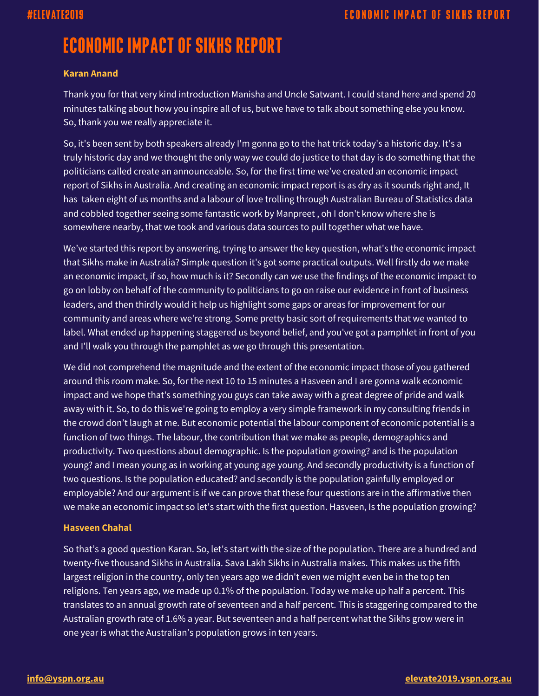# **ECONOMIC IMPACT OF SIKHS REPORT**

### **Karan Anand**

Thank you for that very kind introduction Manisha and Uncle Satwant. I could stand here and spend 20 minutes talking about how you inspire all of us, but we have to talk about something else you know. So, thank you we really appreciate it.

So, it's been sent by both speakers already I'm gonna go to the hat trick today's a historic day. It's a truly historic day and we thought the only way we could do justice to that day is do something that the politicians called create an announceable. So, for the first time we've created an economic impact report of Sikhs in Australia. And creating an economic impact report is as dry as it sounds right and, It has taken eight of us months and a labour of love trolling through Australian Bureau of Statistics data and cobbled together seeing some fantastic work by Manpreet , oh I don't know where she is somewhere nearby, that we took and various data sources to pull together what we have.

We've started this report by answering, trying to answer the key question, what's the economic impact that Sikhs make in Australia? Simple question it's got some practical outputs. Well firstly do we make an economic impact, if so, how much is it? Secondly can we use the findings of the economic impact to go on lobby on behalf of the community to politicians to go on raise our evidence in front of business leaders, and then thirdly would it help us highlight some gaps or areas for improvement for our community and areas where we're strong. Some pretty basic sort of requirements that we wanted to label. What ended up happening staggered us beyond belief, and you've got a pamphlet in front of you and I'll walk you through the pamphlet as we go through this presentation.

We did not comprehend the magnitude and the extent of the economic impact those of you gathered around this room make. So, for the next 10 to 15 minutes a Hasveen and I are gonna walk economic impact and we hope that's something you guys can take away with a great degree of pride and walk away with it. So, to do this we're going to employ a very simple framework in my consulting friends in the crowd don't laugh at me. But economic potential the labour component of economic potential is a function of two things. The labour, the contribution that we make as people, demographics and productivity. Two questions about demographic. Is the population growing? and is the population young? and I mean young as in working at young age young. And secondly productivity is a function of two questions. Is the population educated? and secondly is the population gainfully employed or employable? And our argument is if we can prove that these four questions are in the affirmative then we make an economic impact so let's start with the first question. Hasveen, Is the population growing?

#### **Hasveen Chahal**

So that's a good question Karan. So, let's start with the size of the population. There are a hundred and twenty-five thousand Sikhs in Australia. Sava Lakh Sikhs in Australia makes. This makes us the fifth largest religion in the country, only ten years ago we didn't even we might even be in the top ten religions. Ten years ago, we made up 0.1% of the population. Today we make up half a percent. This translates to an annual growth rate of seventeen and a half percent. This is staggering compared to the Australian growth rate of 1.6% a year. But seventeen and a half percent what the Sikhs grow were in one year is what the Australian's population grows in ten years.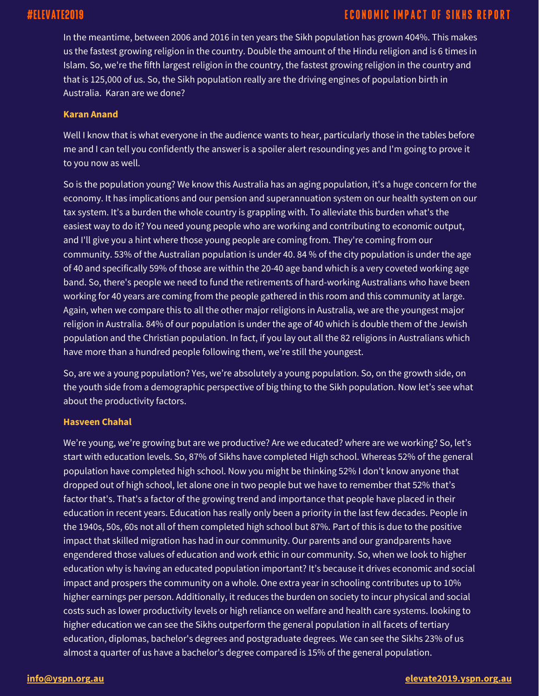# #ELEVATE2019

## **ECONOMIC IMPACT OF SIKHS REPORT**

In the meantime, between 2006 and 2016 in ten years the Sikh population has grown 404%. This makes us the fastest growing religion in the country. Double the amount of the Hindu religion and is 6 times in Islam. So, we're the fifth largest religion in the country, the fastest growing religion in the country and that is 125,000 of us. So, the Sikh population really are the driving engines of population birth in Australia. Karan are we done?

#### **Karan Anand**

Well I know that is what everyone in the audience wants to hear, particularly those in the tables before me and I can tell you confidently the answer is a spoiler alert resounding yes and I'm going to prove it to you now as well.

So is the population young? We know this Australia has an aging population, it's a huge concern for the economy. It has implications and our pension and superannuation system on our health system on our tax system. It's a burden the whole country is grappling with. To alleviate this burden what's the easiest way to do it? You need young people who are working and contributing to economic output, and I'll give you a hint where those young people are coming from. They're coming from our community. 53% of the Australian population is under 40. 84 % of the city population is under the age of 40 and specifically 59% of those are within the 20-40 age band which is a very coveted working age band. So, there's people we need to fund the retirements of hard-working Australians who have been working for 40 years are coming from the people gathered in this room and this community at large. Again, when we compare this to all the other major religions in Australia, we are the youngest major religion in Australia. 84% of our population is under the age of 40 which is double them of the Jewish population and the Christian population. In fact, if you lay out all the 82 religions in Australians which have more than a hundred people following them, we're still the youngest.

So, are we a young population? Yes, we're absolutely a young population. So, on the growth side, on the youth side from a demographic perspective of big thing to the Sikh population. Now let's see what about the productivity factors.

#### **Hasveen Chahal**

We're young, we're growing but are we productive? Are we educated? where are we working? So, let's start with education levels. So, 87% of Sikhs have completed High school. Whereas 52% of the general population have completed high school. Now you might be thinking 52% I don't know anyone that dropped out of high school, let alone one in two people but we have to remember that 52% that's factor that's. That's a factor of the growing trend and importance that people have placed in their education in recent years. Education has really only been a priority in the last few decades. People in the 1940s, 50s, 60s not all of them completed high school but 87%. Part of this is due to the positive impact that skilled migration has had in our community. Our parents and our grandparents have engendered those values of education and work ethic in our community. So, when we look to higher education why is having an educated population important? It's because it drives economic and social impact and prospers the community on a whole. One extra year in schooling contributes up to 10% higher earnings per person. Additionally, it reduces the burden on society to incur physical and social costs such as lower productivity levels or high reliance on welfare and health care systems. looking to higher education we can see the Sikhs outperform the general population in all facets of tertiary education, diplomas, bachelor's degrees and postgraduate degrees. We can see the Sikhs 23% of us almost a quarter of us have a bachelor's degree compared is 15% of the general population.

#### **[info@yspn.org.au](mailto:info@yspn.org.au) [elevate2019.yspn.org.au](https://elevate2019.yspn.org.au/)**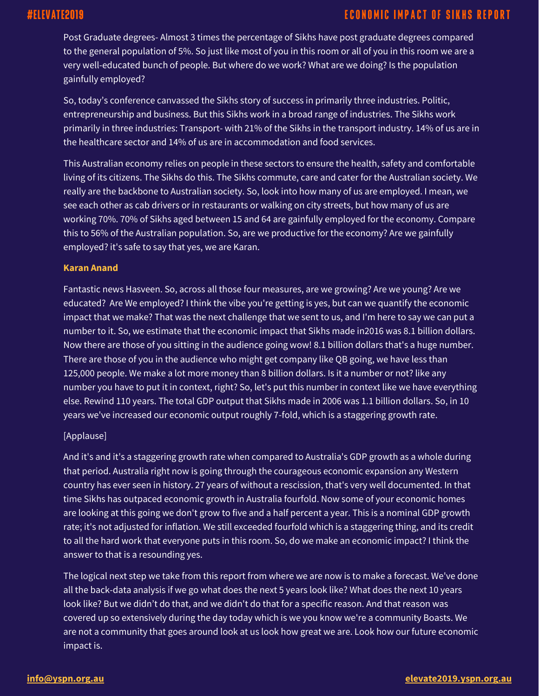Post Graduate degrees- Almost 3 times the percentage of Sikhs have post graduate degrees compared to the general population of 5%. So just like most of you in this room or all of you in this room we are a very well-educated bunch of people. But where do we work? What are we doing? Is the population gainfully employed?

So, today's conference canvassed the Sikhs story of success in primarily three industries. Politic, entrepreneurship and business. But this Sikhs work in a broad range of industries. The Sikhs work primarily in three industries: Transport- with 21% of the Sikhs in the transport industry. 14% of us are in the healthcare sector and 14% of us are in accommodation and food services.

This Australian economy relies on people in these sectors to ensure the health, safety and comfortable living of its citizens. The Sikhs do this. The Sikhs commute, care and cater for the Australian society. We really are the backbone to Australian society. So, look into how many of us are employed. I mean, we see each other as cab drivers or in restaurants or walking on city streets, but how many of us are working 70%. 70% of Sikhs aged between 15 and 64 are gainfully employed for the economy. Compare this to 56% of the Australian population. So, are we productive for the economy? Are we gainfully employed? it's safe to say that yes, we are Karan.

#### **Karan Anand**

Fantastic news Hasveen. So, across all those four measures, are we growing? Are we young? Are we educated? Are We employed? I think the vibe you're getting is yes, but can we quantify the economic impact that we make? That was the next challenge that we sent to us, and I'm here to say we can put a number to it. So, we estimate that the economic impact that Sikhs made in2016 was 8.1 billion dollars. Now there are those of you sitting in the audience going wow! 8.1 billion dollars that's a huge number. There are those of you in the audience who might get company like QB going, we have less than 125,000 people. We make a lot more money than 8 billion dollars. Is it a number or not? like any number you have to put it in context, right? So, let's put this number in context like we have everything else. Rewind 110 years. The total GDP output that Sikhs made in 2006 was 1.1 billion dollars. So, in 10 years we've increased our economic output roughly 7-fold, which is a staggering growth rate.

### [Applause]

And it's and it's a staggering growth rate when compared to Australia's GDP growth as a whole during that period. Australia right now is going through the courageous economic expansion any Western country has ever seen in history. 27 years of without a rescission, that's very well documented. In that time Sikhs has outpaced economic growth in Australia fourfold. Now some of your economic homes are looking at this going we don't grow to five and a half percent a year. This is a nominal GDP growth rate; it's not adjusted for inflation. We still exceeded fourfold which is a staggering thing, and its credit to all the hard work that everyone puts in this room. So, do we make an economic impact? I think the answer to that is a resounding yes.

The logical next step we take from this report from where we are now is to make a forecast. We've done all the back-data analysis if we go what does the next 5 years look like? What does the next 10 years look like? But we didn't do that, and we didn't do that for a specific reason. And that reason was covered up so extensively during the day today which is we you know we're a community Boasts. We are not a community that goes around look at us look how great we are. Look how our future economic impact is.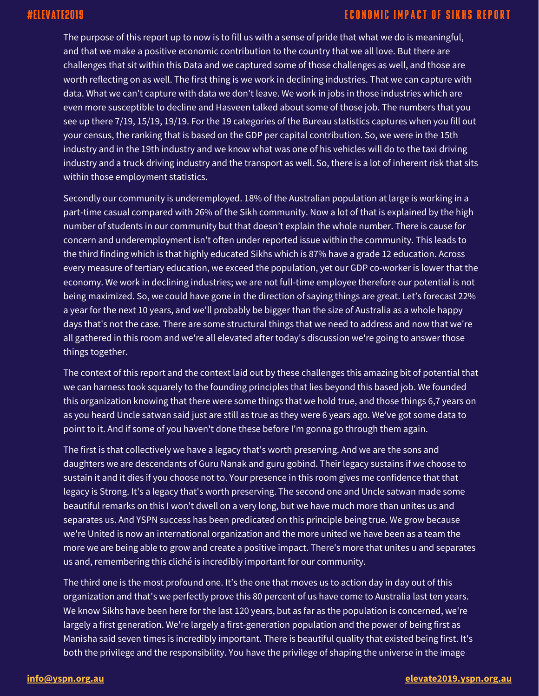# #ELEVATE2019

### **ECONOMIC IMPACT OF SIKHS REPORT**

The purpose of this report up to now is to fill us with a sense of pride that what we do is meaningful, and that we make a positive economic contribution to the country that we all love. But there are challenges that sit within this Data and we captured some of those challenges as well, and those are worth reflecting on as well. The first thing is we work in declining industries. That we can capture with data. What we can't capture with data we don't leave. We work in jobs in those industries which are even more susceptible to decline and Hasveen talked about some of those job. The numbers that you see up there 7/19, 15/19, 19/19. For the 19 categories of the Bureau statistics captures when you fill out your census, the ranking that is based on the GDP per capital contribution. So, we were in the 15th industry and in the 19th industry and we know what was one of his vehicles will do to the taxi driving industry and a truck driving industry and the transport as well. So, there is a lot of inherent risk that sits within those employment statistics.

Secondly our community is underemployed. 18% of the Australian population at large is working in a part-time casual compared with 26% of the Sikh community. Now a lot of that is explained by the high number of students in our community but that doesn't explain the whole number. There is cause for concern and underemployment isn't often under reported issue within the community. This leads to the third finding which is that highly educated Sikhs which is 87% have a grade 12 education. Across every measure of tertiary education, we exceed the population, yet our GDP co-worker is lower that the economy. We work in declining industries; we are not full-time employee therefore our potential is not being maximized. So, we could have gone in the direction of saying things are great. Let's forecast 22% a year for the next 10 years, and we'll probably be bigger than the size of Australia as a whole happy days that's not the case. There are some structural things that we need to address and now that we're all gathered in this room and we're all elevated after today's discussion we're going to answer those things together.

The context of this report and the context laid out by these challenges this amazing bit of potential that we can harness took squarely to the founding principles that lies beyond this based job. We founded this organization knowing that there were some things that we hold true, and those things 6,7 years on as you heard Uncle satwan said just are still as true as they were 6 years ago. We've got some data to point to it. And if some of you haven't done these before I'm gonna go through them again.

The first is that collectively we have a legacy that's worth preserving. And we are the sons and daughters we are descendants of Guru Nanak and guru gobind. Their legacy sustains if we choose to sustain it and it dies if you choose not to. Your presence in this room gives me confidence that that legacy is Strong. It's a legacy that's worth preserving. The second one and Uncle satwan made some beautiful remarks on this I won't dwell on a very long, but we have much more than unites us and separates us. And YSPN success has been predicated on this principle being true. We grow because we're United is now an international organization and the more united we have been as a team the more we are being able to grow and create a positive impact. There's more that unites u and separates us and, remembering this cliché is incredibly important for our community.

The third one is the most profound one. It's the one that moves us to action day in day out of this organization and that's we perfectly prove this 80 percent of us have come to Australia last ten years. We know Sikhs have been here for the last 120 years, but as far as the population is concerned, we're largely a first generation. We're largely a first-generation population and the power of being first as Manisha said seven times is incredibly important. There is beautiful quality that existed being first. It's both the privilege and the responsibility. You have the privilege of shaping the universe in the image

#### **[info@yspn.org.au](mailto:info@yspn.org.au) [elevate2019.yspn.org.au](https://elevate2019.yspn.org.au/)**